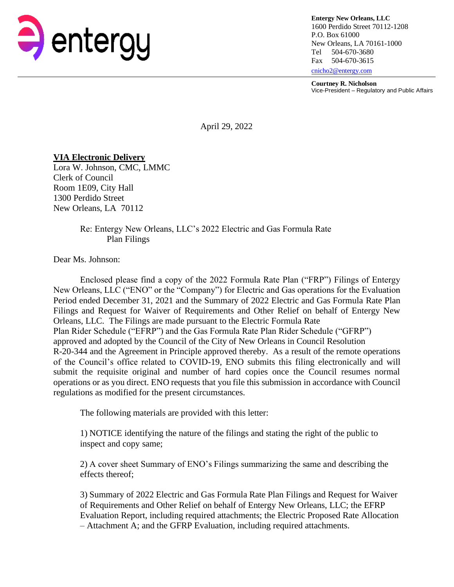

**Entergy New Orleans, LLC** 1600 Perdido Street 70112-1208 P.O. Box 61000 New Orleans, LA 70161-1000 Tel 504-670-3680 Fax 504-670-3615 [cnicho2@entergy.com](mailto:cnicho2@entergy.com)

**Courtney R. Nicholson**

Vice-President – Regulatory and Public Affairs

April 29, 2022

## **VIA Electronic Delivery**

Lora W. Johnson, CMC, LMMC Clerk of Council Room 1E09, City Hall 1300 Perdido Street New Orleans, LA 70112

## Re: Entergy New Orleans, LLC's 2022 Electric and Gas Formula Rate Plan Filings

Dear Ms. Johnson:

Enclosed please find a copy of the 2022 Formula Rate Plan ("FRP") Filings of Entergy New Orleans, LLC ("ENO" or the "Company") for Electric and Gas operations for the Evaluation Period ended December 31, 2021 and the Summary of 2022 Electric and Gas Formula Rate Plan Filings and Request for Waiver of Requirements and Other Relief on behalf of Entergy New Orleans, LLC. The Filings are made pursuant to the Electric Formula Rate Plan Rider Schedule ("EFRP") and the Gas Formula Rate Plan Rider Schedule ("GFRP") approved and adopted by the Council of the City of New Orleans in Council Resolution R-20-344 and the Agreement in Principle approved thereby. As a result of the remote operations of the Council's office related to COVID-19, ENO submits this filing electronically and will submit the requisite original and number of hard copies once the Council resumes normal operations or as you direct. ENO requests that you file this submission in accordance with Council regulations as modified for the present circumstances.

The following materials are provided with this letter:

1) NOTICE identifying the nature of the filings and stating the right of the public to inspect and copy same;

2) A cover sheet Summary of ENO's Filings summarizing the same and describing the effects thereof;

3) Summary of 2022 Electric and Gas Formula Rate Plan Filings and Request for Waiver of Requirements and Other Relief on behalf of Entergy New Orleans, LLC; the EFRP Evaluation Report, including required attachments; the Electric Proposed Rate Allocation – Attachment A; and the GFRP Evaluation, including required attachments.